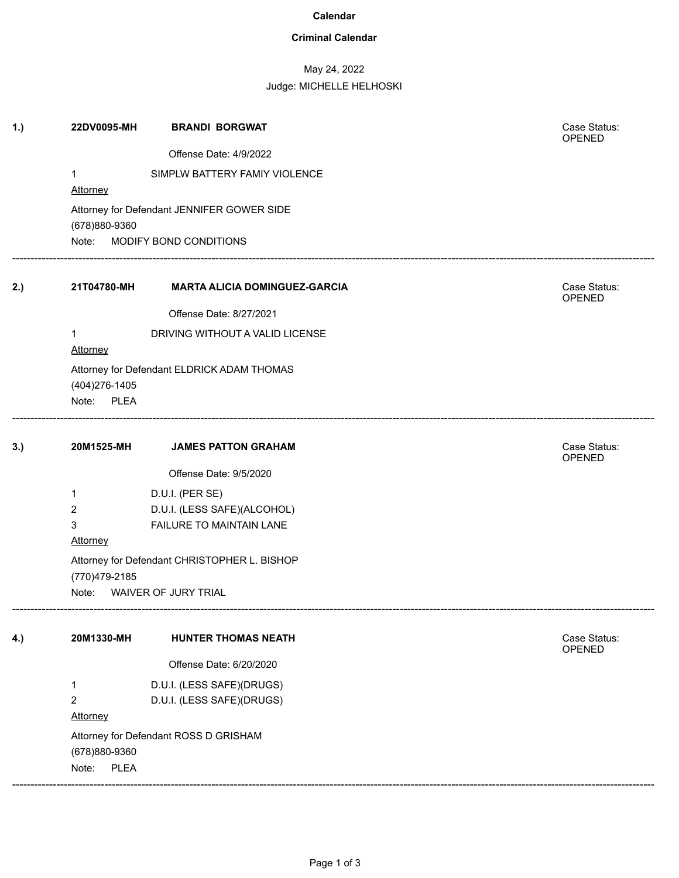#### **Calendar**

### **Criminal Calendar**

# May 24, 2022

Judge: MICHELLE HELHOSKI

| 1.) | 22DV0095-MH                                                 | <b>BRANDI BORGWAT</b>                        |  | Case Status:<br>OPENED |  |
|-----|-------------------------------------------------------------|----------------------------------------------|--|------------------------|--|
|     |                                                             | Offense Date: 4/9/2022                       |  |                        |  |
|     | $\mathbf{1}$                                                | SIMPLW BATTERY FAMIY VIOLENCE                |  |                        |  |
|     | Attorney                                                    |                                              |  |                        |  |
|     | Attorney for Defendant JENNIFER GOWER SIDE<br>(678)880-9360 |                                              |  |                        |  |
|     |                                                             | Note: MODIFY BOND CONDITIONS                 |  |                        |  |
| 2.) | 21T04780-MH                                                 | <b>MARTA ALICIA DOMINGUEZ-GARCIA</b>         |  | Case Status:<br>OPENED |  |
|     |                                                             | Offense Date: 8/27/2021                      |  |                        |  |
|     | $\mathbf{1}$<br>Attorney                                    | DRIVING WITHOUT A VALID LICENSE              |  |                        |  |
|     | (404) 276-1405<br>Note: PLEA                                | Attorney for Defendant ELDRICK ADAM THOMAS   |  |                        |  |
| 3.) | 20M1525-MH                                                  | <b>JAMES PATTON GRAHAM</b>                   |  | Case Status:<br>OPENED |  |
|     |                                                             | Offense Date: 9/5/2020                       |  |                        |  |
|     | 1                                                           | D.U.I. (PER SE)                              |  |                        |  |
|     | 2                                                           | D.U.I. (LESS SAFE)(ALCOHOL)                  |  |                        |  |
|     | $\mathbf{3}$                                                | FAILURE TO MAINTAIN LANE                     |  |                        |  |
|     | Attorney                                                    |                                              |  |                        |  |
|     | (770)479-2185                                               | Attorney for Defendant CHRISTOPHER L. BISHOP |  |                        |  |
|     |                                                             | Note: WAIVER OF JURY TRIAL                   |  |                        |  |
| 4.) | 20M1330-MH                                                  | <b>HUNTER THOMAS NEATH</b>                   |  | Case Status:<br>OPENED |  |
|     |                                                             | Offense Date: 6/20/2020                      |  |                        |  |
|     | 1                                                           | D.U.I. (LESS SAFE)(DRUGS)                    |  |                        |  |
|     | $\overline{2}$                                              | D.U.I. (LESS SAFE)(DRUGS)                    |  |                        |  |
|     | Attorney                                                    |                                              |  |                        |  |
|     |                                                             | Attorney for Defendant ROSS D GRISHAM        |  |                        |  |
|     | (678)880-9360                                               |                                              |  |                        |  |
|     | <b>PLEA</b><br>Note:                                        |                                              |  |                        |  |
|     |                                                             |                                              |  |                        |  |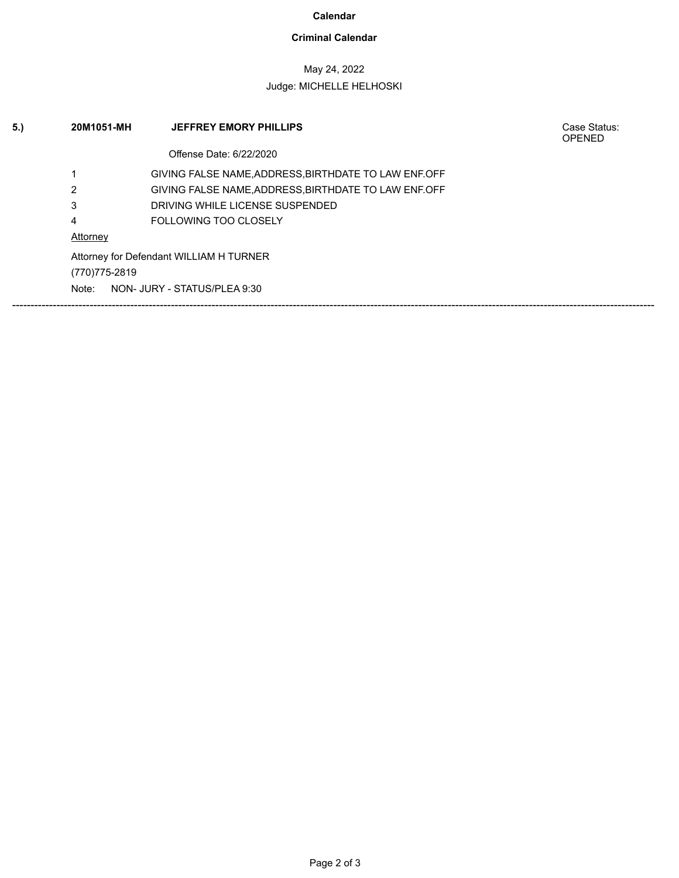#### **Calendar**

### **Criminal Calendar**

## May 24, 2022

### Judge: MICHELLE HELHOSKI

| 5. | 20M1051-MH                              | <b>JEFFREY EMORY PHILLIPS</b>                         | Case Status:<br><b>OPENED</b> |
|----|-----------------------------------------|-------------------------------------------------------|-------------------------------|
|    |                                         | Offense Date: 6/22/2020                               |                               |
|    |                                         | GIVING FALSE NAME, ADDRESS, BIRTHDATE TO LAW ENF. OFF |                               |
|    | 2                                       | GIVING FALSE NAME, ADDRESS, BIRTHDATE TO LAW ENF. OFF |                               |
|    | 3                                       | DRIVING WHILE LICENSE SUSPENDED                       |                               |
|    | 4                                       | <b>FOLLOWING TOO CLOSELY</b>                          |                               |
|    | Attorney                                |                                                       |                               |
|    | Attorney for Defendant WILLIAM H TURNER |                                                       |                               |
|    | (770) 775-2819                          |                                                       |                               |
|    | NON- JURY - STATUS/PLEA 9:30<br>Note:   |                                                       |                               |
|    |                                         |                                                       |                               |
|    |                                         |                                                       |                               |